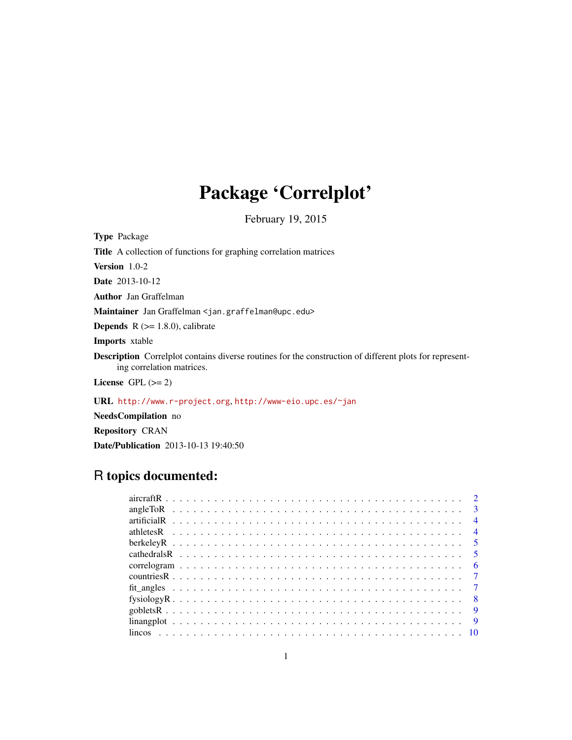## Package 'Correlplot'

February 19, 2015

<span id="page-0-0"></span>Type Package Title A collection of functions for graphing correlation matrices Version 1.0-2 Date 2013-10-12 Author Jan Graffelman Maintainer Jan Graffelman <jan.graffelman@upc.edu> **Depends**  $R$  ( $>= 1.8.0$ ), calibrate Imports xtable Description Correlplot contains diverse routines for the construction of different plots for representing correlation matrices. License GPL  $(>= 2)$ 

URL <http://www.r-project.org>, <http://www-eio.upc.es/~jan>

NeedsCompilation no

Repository CRAN

Date/Publication 2013-10-13 19:40:50

## R topics documented: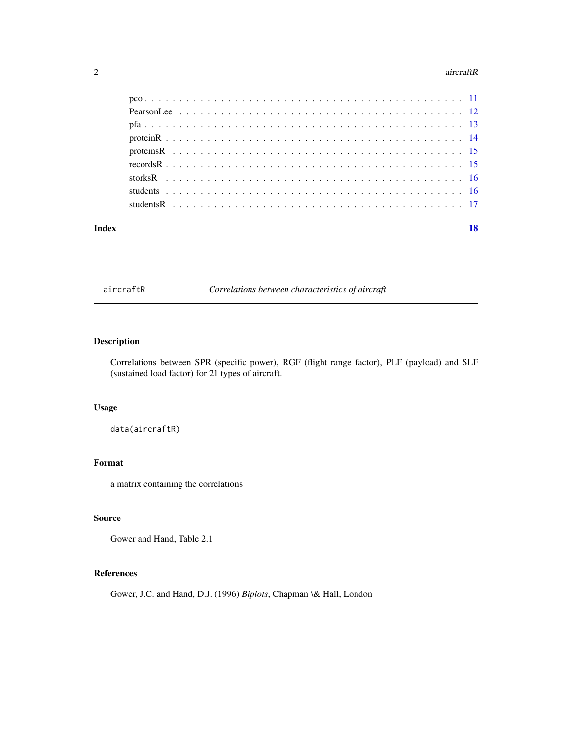#### <span id="page-1-0"></span>2 aircraftR

| Index |  |  |  |  |  |  |  |  |  |  |  |  |  |  |  |  |  |  |  |
|-------|--|--|--|--|--|--|--|--|--|--|--|--|--|--|--|--|--|--|--|
|       |  |  |  |  |  |  |  |  |  |  |  |  |  |  |  |  |  |  |  |
|       |  |  |  |  |  |  |  |  |  |  |  |  |  |  |  |  |  |  |  |
|       |  |  |  |  |  |  |  |  |  |  |  |  |  |  |  |  |  |  |  |
|       |  |  |  |  |  |  |  |  |  |  |  |  |  |  |  |  |  |  |  |
|       |  |  |  |  |  |  |  |  |  |  |  |  |  |  |  |  |  |  |  |
|       |  |  |  |  |  |  |  |  |  |  |  |  |  |  |  |  |  |  |  |
|       |  |  |  |  |  |  |  |  |  |  |  |  |  |  |  |  |  |  |  |
|       |  |  |  |  |  |  |  |  |  |  |  |  |  |  |  |  |  |  |  |
|       |  |  |  |  |  |  |  |  |  |  |  |  |  |  |  |  |  |  |  |

aircraftR *Correlations between characteristics of aircraft*

### Description

Correlations between SPR (specific power), RGF (flight range factor), PLF (payload) and SLF (sustained load factor) for 21 types of aircraft.

### Usage

data(aircraftR)

### Format

a matrix containing the correlations

### Source

Gower and Hand, Table 2.1

### References

Gower, J.C. and Hand, D.J. (1996) *Biplots*, Chapman \& Hall, London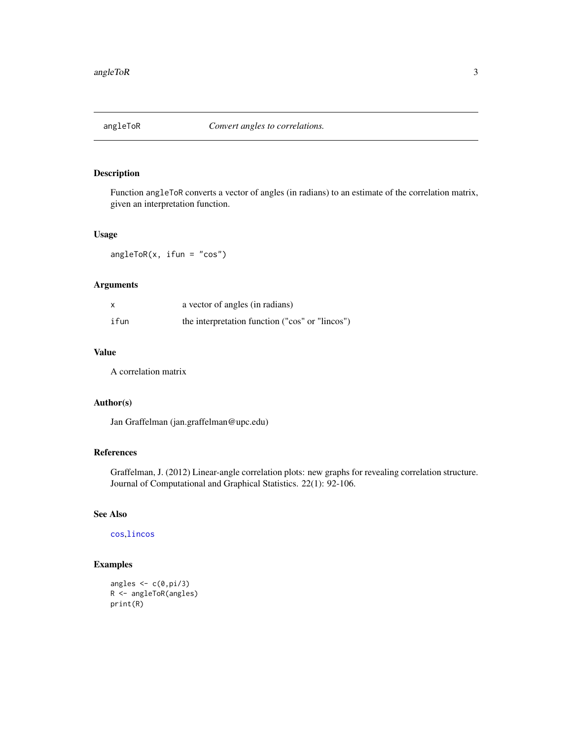<span id="page-2-0"></span>

Function angleToR converts a vector of angles (in radians) to an estimate of the correlation matrix, given an interpretation function.

### Usage

 $angleToR(x, ifun = "cos")$ 

### Arguments

| $\boldsymbol{\mathsf{x}}$ | a vector of angles (in radians)                 |
|---------------------------|-------------------------------------------------|
| ifun                      | the interpretation function ("cos" or "lincos") |

### Value

A correlation matrix

### Author(s)

Jan Graffelman (jan.graffelman@upc.edu)

### References

Graffelman, J. (2012) Linear-angle correlation plots: new graphs for revealing correlation structure. Journal of Computational and Graphical Statistics. 22(1): 92-106.

### See Also

[cos](#page-0-0),[lincos](#page-9-1)

### Examples

```
angles \leftarrow c(0, pi/3)R <- angleToR(angles)
print(R)
```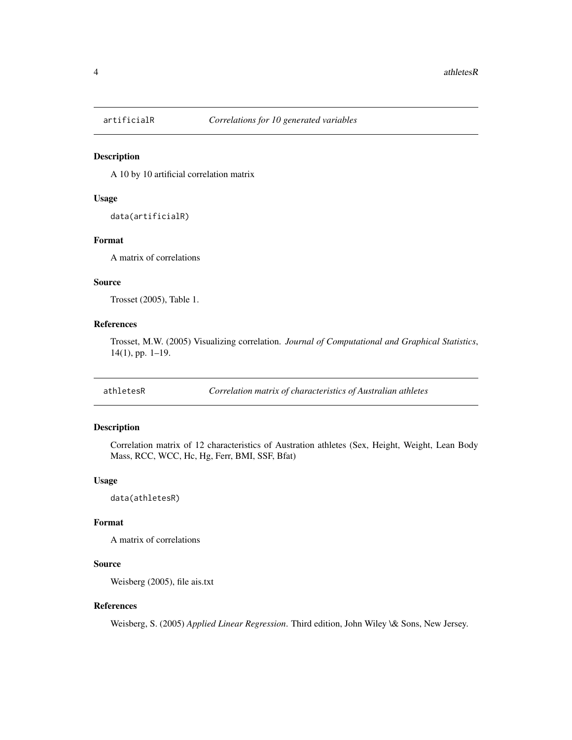<span id="page-3-0"></span>

A 10 by 10 artificial correlation matrix

### Usage

data(artificialR)

### Format

A matrix of correlations

### Source

Trosset (2005), Table 1.

### References

Trosset, M.W. (2005) Visualizing correlation. *Journal of Computational and Graphical Statistics*, 14(1), pp. 1–19.

athletesR *Correlation matrix of characteristics of Australian athletes*

### Description

Correlation matrix of 12 characteristics of Austration athletes (Sex, Height, Weight, Lean Body Mass, RCC, WCC, Hc, Hg, Ferr, BMI, SSF, Bfat)

### Usage

data(athletesR)

#### Format

A matrix of correlations

### Source

Weisberg (2005), file ais.txt

### References

Weisberg, S. (2005) *Applied Linear Regression*. Third edition, John Wiley \& Sons, New Jersey.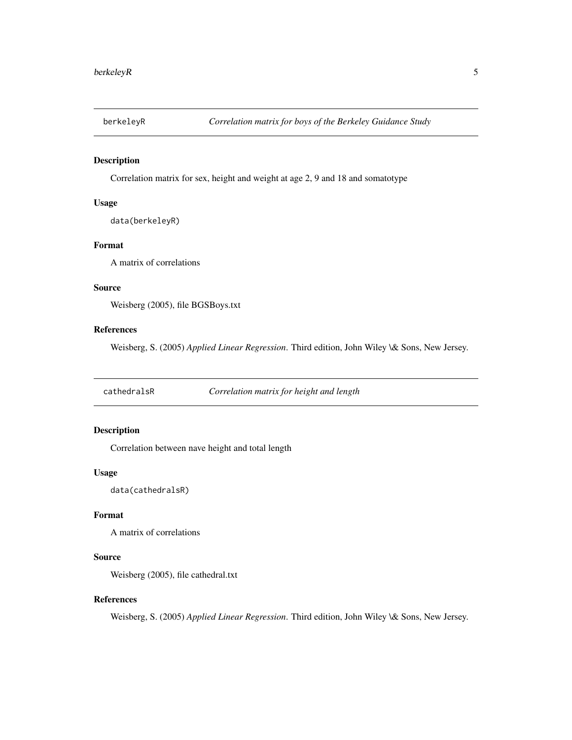<span id="page-4-0"></span>

Correlation matrix for sex, height and weight at age 2, 9 and 18 and somatotype

### Usage

data(berkeleyR)

### Format

A matrix of correlations

### Source

Weisberg (2005), file BGSBoys.txt

### References

Weisberg, S. (2005) *Applied Linear Regression*. Third edition, John Wiley \& Sons, New Jersey.

cathedralsR *Correlation matrix for height and length*

### Description

Correlation between nave height and total length

### Usage

data(cathedralsR)

### Format

A matrix of correlations

### Source

Weisberg (2005), file cathedral.txt

### References

Weisberg, S. (2005) *Applied Linear Regression*. Third edition, John Wiley \& Sons, New Jersey.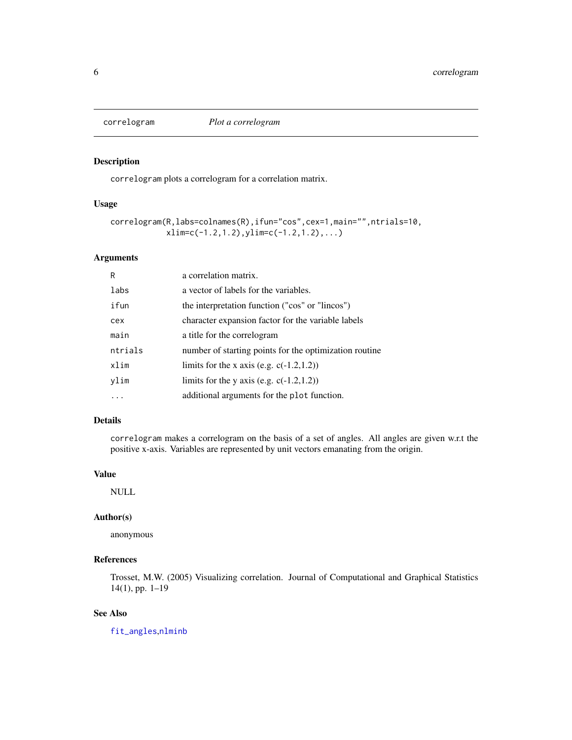<span id="page-5-1"></span><span id="page-5-0"></span>

correlogram plots a correlogram for a correlation matrix.

### Usage

```
correlogram(R,labs=colnames(R),ifun="cos",cex=1,main="",ntrials=10,
            xlim=c(-1.2,1.2), ylim=c(-1.2,1.2),...)
```
### Arguments

| a correlation matrix.                                  |
|--------------------------------------------------------|
| a vector of labels for the variables.                  |
| the interpretation function ("cos" or "lincos")        |
| character expansion factor for the variable labels     |
| a title for the correlogram                            |
| number of starting points for the optimization routine |
| limits for the x axis (e.g. $c(-1.2,1.2)$ )            |
| limits for the y axis (e.g. $c(-1.2,1.2)$ )            |
| additional arguments for the plot function.            |
|                                                        |

### Details

correlogram makes a correlogram on the basis of a set of angles. All angles are given w.r.t the positive x-axis. Variables are represented by unit vectors emanating from the origin.

### Value

NULL

### Author(s)

anonymous

### References

Trosset, M.W. (2005) Visualizing correlation. Journal of Computational and Graphical Statistics 14(1), pp. 1–19

### See Also

[fit\\_angles](#page-6-1),[nlminb](#page-0-0)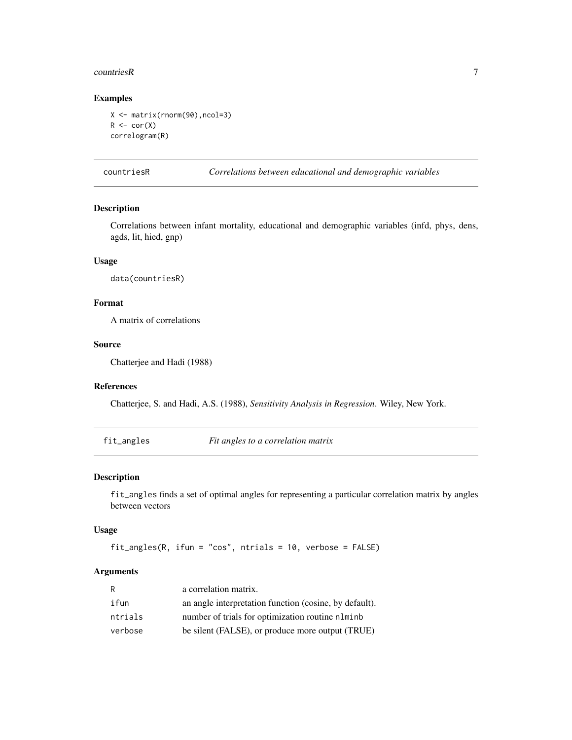#### <span id="page-6-0"></span>countriesR 7

### Examples

```
X <- matrix(rnorm(90),ncol=3)
R \leftarrow cor(X)correlogram(R)
```
countriesR *Correlations between educational and demographic variables*

### Description

Correlations between infant mortality, educational and demographic variables (infd, phys, dens, agds, lit, hied, gnp)

### Usage

data(countriesR)

### Format

A matrix of correlations

### Source

Chatterjee and Hadi (1988)

### References

Chatterjee, S. and Hadi, A.S. (1988), *Sensitivity Analysis in Regression*. Wiley, New York.

<span id="page-6-1"></span>fit\_angles *Fit angles to a correlation matrix*

### Description

fit\_angles finds a set of optimal angles for representing a particular correlation matrix by angles between vectors

#### Usage

```
fit_angles(R, ifun = "cos", ntrials = 10, verbose = FALSE)
```
### Arguments

| R       | a correlation matrix.                                  |
|---------|--------------------------------------------------------|
| ifun    | an angle interpretation function (cosine, by default). |
| ntrials | number of trials for optimization routine nlminb       |
| verbose | be silent (FALSE), or produce more output (TRUE)       |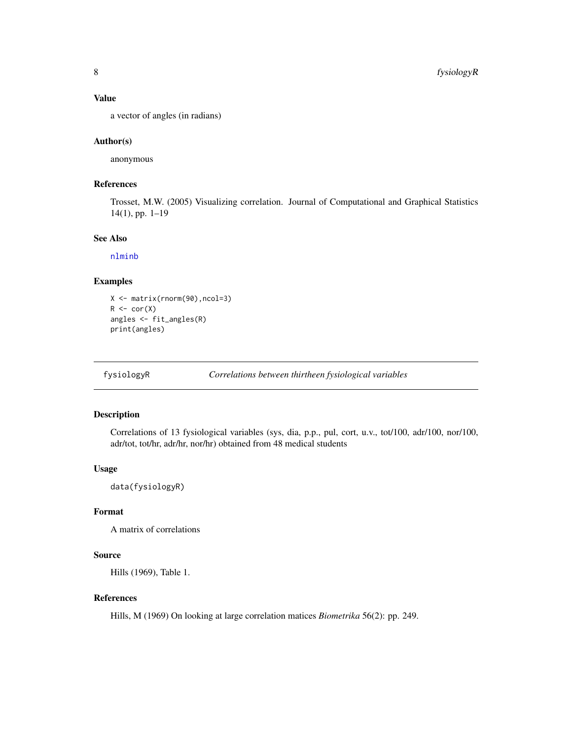### <span id="page-7-0"></span>Value

a vector of angles (in radians)

### Author(s)

anonymous

### References

Trosset, M.W. (2005) Visualizing correlation. Journal of Computational and Graphical Statistics 14(1), pp. 1–19

### See Also

[nlminb](#page-0-0)

### Examples

```
X <- matrix(rnorm(90),ncol=3)
R \leftarrow cor(X)angles <- fit_angles(R)
print(angles)
```
fysiologyR *Correlations between thirtheen fysiological variables*

### Description

Correlations of 13 fysiological variables (sys, dia, p.p., pul, cort, u.v., tot/100, adr/100, nor/100, adr/tot, tot/hr, adr/hr, nor/hr) obtained from 48 medical students

### Usage

data(fysiologyR)

### Format

A matrix of correlations

### Source

Hills (1969), Table 1.

### References

Hills, M (1969) On looking at large correlation matices *Biometrika* 56(2): pp. 249.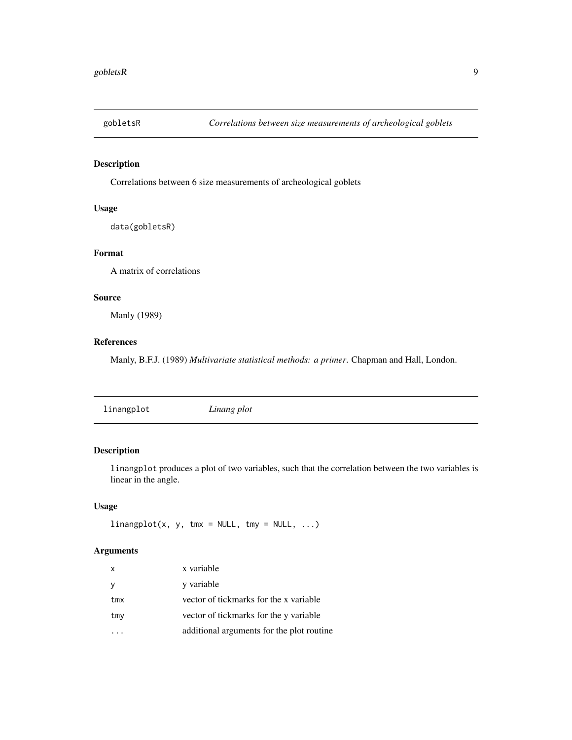<span id="page-8-0"></span>

Correlations between 6 size measurements of archeological goblets

### Usage

data(gobletsR)

### Format

A matrix of correlations

### Source

Manly (1989)

### References

Manly, B.F.J. (1989) *Multivariate statistical methods: a primer*. Chapman and Hall, London.

### Description

linangplot produces a plot of two variables, such that the correlation between the two variables is linear in the angle.

### Usage

 $linangplot(x, y, tmx = NULL, tmy = NULL, ...)$ 

### Arguments

| X   | x variable                                |
|-----|-------------------------------------------|
| У   | y variable                                |
| tmx | vector of tickmarks for the x variable    |
| tmy | vector of tickmarks for the y variable    |
|     | additional arguments for the plot routine |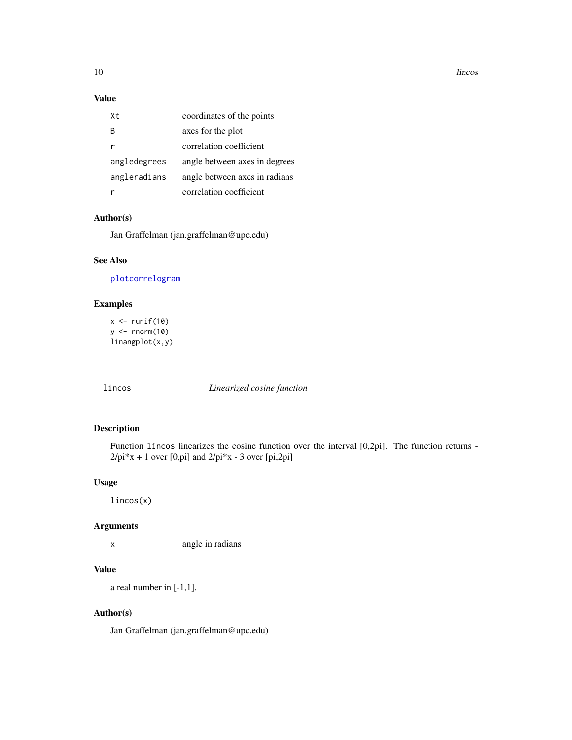10 lincos

### Value

| Χt           | coordinates of the points     |
|--------------|-------------------------------|
| R            | axes for the plot             |
| r            | correlation coefficient       |
| angledegrees | angle between axes in degrees |
| angleradians | angle between axes in radians |
|              | correlation coefficient       |

### Author(s)

Jan Graffelman (jan.graffelman@upc.edu)

### See Also

[plot](#page-0-0)[correlogram](#page-5-1)

### Examples

 $x \leftarrow runif(10)$ y <- rnorm(10) linangplot(x,y)

<span id="page-9-1"></span>lincos *Linearized cosine function*

### Description

Function lincos linearizes the cosine function over the interval [0,2pi]. The function returns -  $2$ /pi\*x + 1 over [0,pi] and  $2$ /pi\*x - 3 over [pi,2pi]

### Usage

lincos(x)

### Arguments

x angle in radians

### Value

a real number in [-1,1].

### Author(s)

Jan Graffelman (jan.graffelman@upc.edu)

<span id="page-9-0"></span>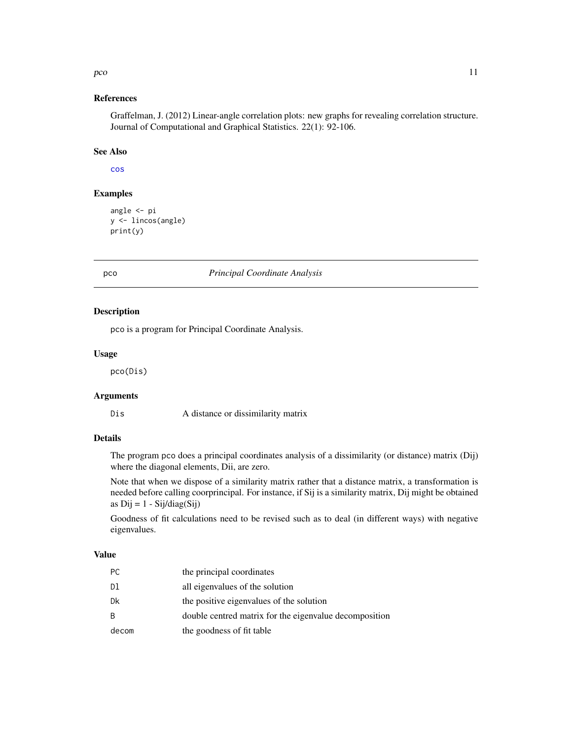### <span id="page-10-0"></span>pco and the set of the set of the set of the set of the set of the set of the set of the set of the set of the set of the set of the set of the set of the set of the set of the set of the set of the set of the set of the s

### References

Graffelman, J. (2012) Linear-angle correlation plots: new graphs for revealing correlation structure. Journal of Computational and Graphical Statistics. 22(1): 92-106.

### See Also

[cos](#page-0-0)

### Examples

```
angle <- pi
y <- lincos(angle)
print(y)
```
### pco *Principal Coordinate Analysis*

### Description

pco is a program for Principal Coordinate Analysis.

### Usage

pco(Dis)

### Arguments

Dis A distance or dissimilarity matrix

### Details

The program pco does a principal coordinates analysis of a dissimilarity (or distance) matrix (Dij) where the diagonal elements, Dii, are zero.

Note that when we dispose of a similarity matrix rather that a distance matrix, a transformation is needed before calling coorprincipal. For instance, if Sij is a similarity matrix, Dij might be obtained as  $Dij = 1 - Sij/diag(Sij)$ 

Goodness of fit calculations need to be revised such as to deal (in different ways) with negative eigenvalues.

### Value

| РC    | the principal coordinates                              |
|-------|--------------------------------------------------------|
| Dl    | all eigenvalues of the solution                        |
| Dk    | the positive eigenvalues of the solution               |
| B.    | double centred matrix for the eigenvalue decomposition |
| decom | the goodness of fit table                              |
|       |                                                        |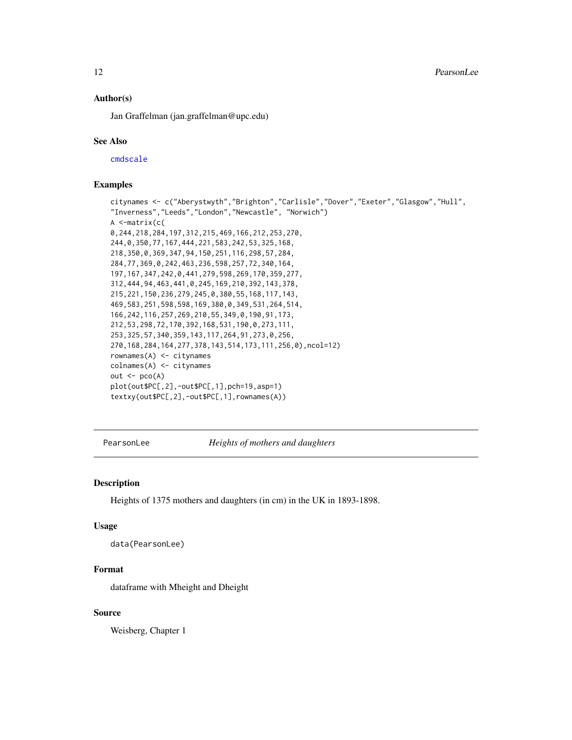<span id="page-11-0"></span>12 PearsonLee

### Author(s)

Jan Graffelman (jan.graffelman@upc.edu)

### See Also

[cmdscale](#page-0-0)

### Examples

```
citynames <- c("Aberystwyth","Brighton","Carlisle","Dover","Exeter","Glasgow","Hull",
"Inverness","Leeds","London","Newcastle", "Norwich")
A <-matrix(c(
0,244,218,284,197,312,215,469,166,212,253,270,
244,0,350,77,167,444,221,583,242,53,325,168,
218,350,0,369,347,94,150,251,116,298,57,284,
284,77,369,0,242,463,236,598,257,72,340,164,
197,167,347,242,0,441,279,598,269,170,359,277,
312,444,94,463,441,0,245,169,210,392,143,378,
215,221,150,236,279,245,0,380,55,168,117,143,
469,583,251,598,598,169,380,0,349,531,264,514,
166,242,116,257,269,210,55,349,0,190,91,173,
212,53,298,72,170,392,168,531,190,0,273,111,
253,325,57,340,359,143,117,264,91,273,0,256,
270,168,284,164,277,378,143,514,173,111,256,0),ncol=12)
rownames(A) <- citynames
colnames(A) <- citynames
out \leq pco(A)
plot(out$PC[,2],-out$PC[,1],pch=19,asp=1)
textxy(out$PC[,2],-out$PC[,1],rownames(A))
```
PearsonLee *Heights of mothers and daughters*

#### Description

Heights of 1375 mothers and daughters (in cm) in the UK in 1893-1898.

#### Usage

data(PearsonLee)

### Format

dataframe with Mheight and Dheight

### Source

Weisberg, Chapter 1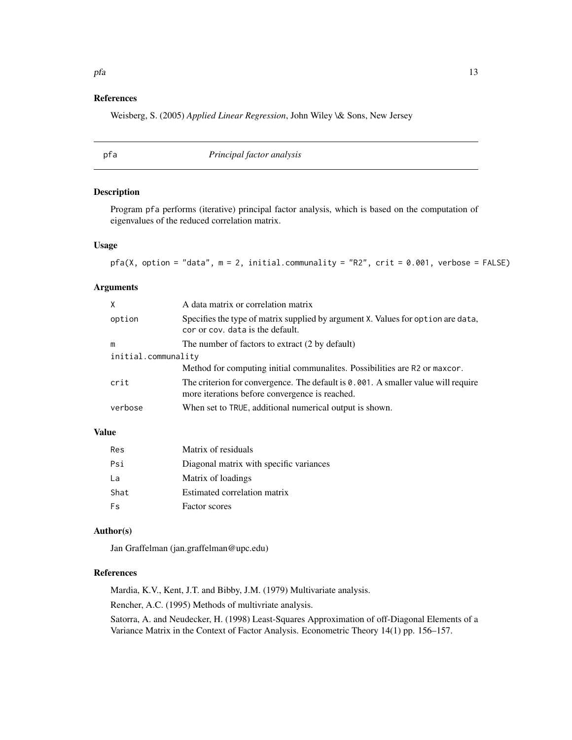### <span id="page-12-0"></span>References

Weisberg, S. (2005) *Applied Linear Regression*, John Wiley \& Sons, New Jersey

| pfa | Principal factor analysis |  |
|-----|---------------------------|--|
|-----|---------------------------|--|

### Description

Program pfa performs (iterative) principal factor analysis, which is based on the computation of eigenvalues of the reduced correlation matrix.

### Usage

```
pfa(X, option = "data", m = 2, initial.communality = "R2", crit = 0.001, verbose = FALSE)
```
### Arguments

| X                   | A data matrix or correlation matrix                                                                                                    |  |  |  |  |
|---------------------|----------------------------------------------------------------------------------------------------------------------------------------|--|--|--|--|
| option              | Specifies the type of matrix supplied by argument X. Values for option are data,<br>cor or cov. data is the default.                   |  |  |  |  |
| m                   | The number of factors to extract (2 by default)                                                                                        |  |  |  |  |
| initial.communality |                                                                                                                                        |  |  |  |  |
|                     | Method for computing initial communalities. Possibilities are R2 or maxcor.                                                            |  |  |  |  |
| crit                | The criterion for convergence. The default is $0.001$ . A smaller value will require<br>more iterations before convergence is reached. |  |  |  |  |
| verbose             | When set to TRUE, additional numerical output is shown.                                                                                |  |  |  |  |

### Value

| Res  | Matrix of residuals                     |
|------|-----------------------------------------|
| Psi  | Diagonal matrix with specific variances |
| La   | Matrix of loadings                      |
| Shat | Estimated correlation matrix            |
| Fs   | <b>Factor</b> scores                    |

### Author(s)

Jan Graffelman (jan.graffelman@upc.edu)

### References

Mardia, K.V., Kent, J.T. and Bibby, J.M. (1979) Multivariate analysis.

Rencher, A.C. (1995) Methods of multivriate analysis.

Satorra, A. and Neudecker, H. (1998) Least-Squares Approximation of off-Diagonal Elements of a Variance Matrix in the Context of Factor Analysis. Econometric Theory 14(1) pp. 156–157.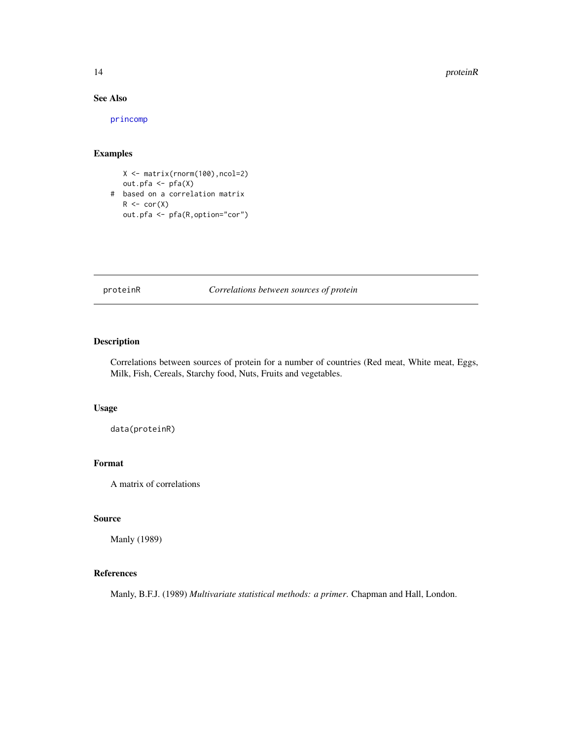#### <span id="page-13-0"></span>14 proteinR

### See Also

[princomp](#page-0-0)

### Examples

X <- matrix(rnorm(100),ncol=2) out.pfa <- pfa(X) # based on a correlation matrix  $R \leftarrow cor(X)$ out.pfa <- pfa(R,option="cor")

proteinR *Correlations between sources of protein*

### Description

Correlations between sources of protein for a number of countries (Red meat, White meat, Eggs, Milk, Fish, Cereals, Starchy food, Nuts, Fruits and vegetables.

### Usage

data(proteinR)

### Format

A matrix of correlations

### Source

Manly (1989)

### References

Manly, B.F.J. (1989) *Multivariate statistical methods: a primer*. Chapman and Hall, London.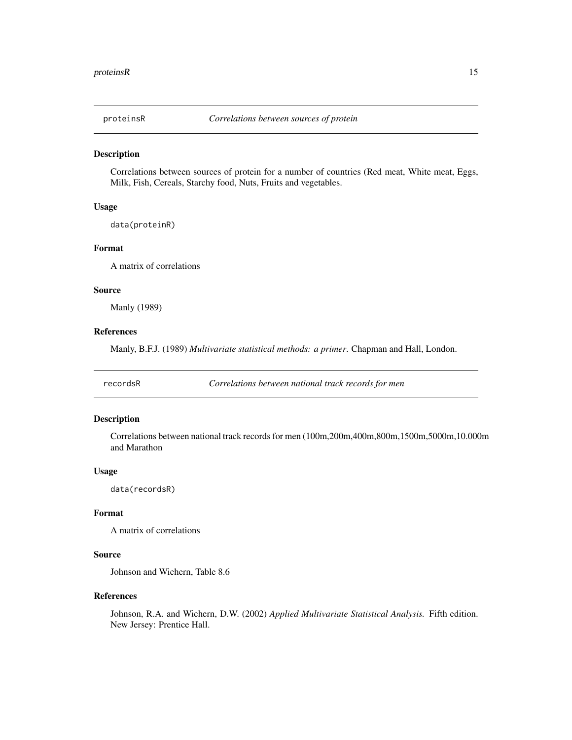<span id="page-14-0"></span>

Correlations between sources of protein for a number of countries (Red meat, White meat, Eggs, Milk, Fish, Cereals, Starchy food, Nuts, Fruits and vegetables.

### Usage

data(proteinR)

#### Format

A matrix of correlations

### Source

Manly (1989)

### References

Manly, B.F.J. (1989) *Multivariate statistical methods: a primer*. Chapman and Hall, London.

recordsR *Correlations between national track records for men*

#### Description

Correlations between national track records for men (100m,200m,400m,800m,1500m,5000m,10.000m and Marathon

#### Usage

data(recordsR)

### Format

A matrix of correlations

### Source

Johnson and Wichern, Table 8.6

### References

Johnson, R.A. and Wichern, D.W. (2002) *Applied Multivariate Statistical Analysis.* Fifth edition. New Jersey: Prentice Hall.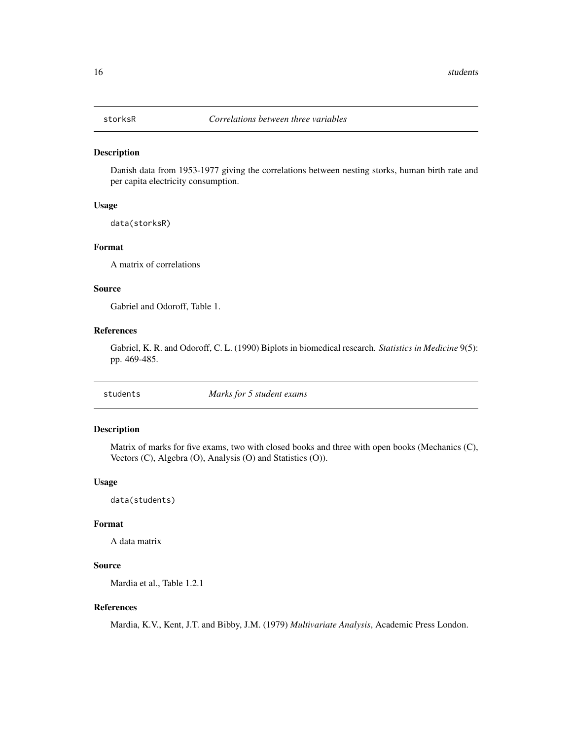<span id="page-15-0"></span>

Danish data from 1953-1977 giving the correlations between nesting storks, human birth rate and per capita electricity consumption.

### Usage

data(storksR)

### Format

A matrix of correlations

### Source

Gabriel and Odoroff, Table 1.

### References

Gabriel, K. R. and Odoroff, C. L. (1990) Biplots in biomedical research. *Statistics in Medicine* 9(5): pp. 469-485.

students *Marks for 5 student exams*

### Description

Matrix of marks for five exams, two with closed books and three with open books (Mechanics (C), Vectors (C), Algebra (O), Analysis (O) and Statistics (O)).

### Usage

data(students)

### Format

A data matrix

### Source

Mardia et al., Table 1.2.1

### References

Mardia, K.V., Kent, J.T. and Bibby, J.M. (1979) *Multivariate Analysis*, Academic Press London.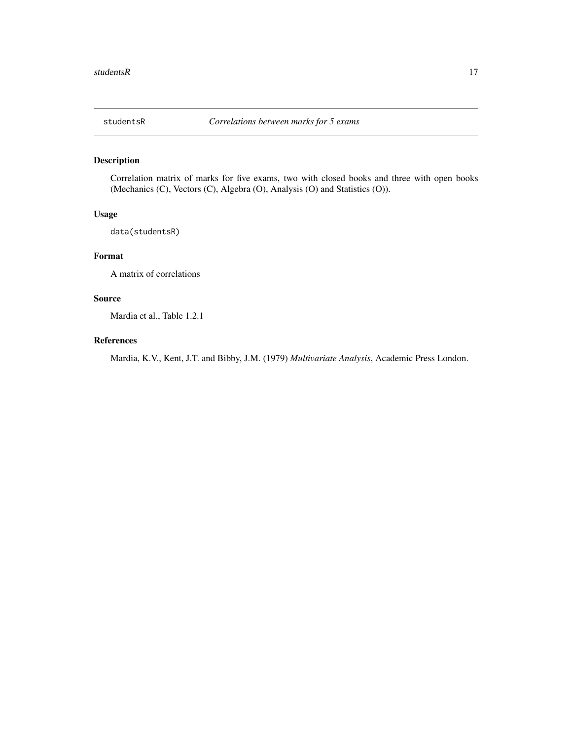<span id="page-16-0"></span>

Correlation matrix of marks for five exams, two with closed books and three with open books (Mechanics (C), Vectors (C), Algebra (O), Analysis (O) and Statistics (O)).

### Usage

data(studentsR)

### Format

A matrix of correlations

### Source

Mardia et al., Table 1.2.1

### References

Mardia, K.V., Kent, J.T. and Bibby, J.M. (1979) *Multivariate Analysis*, Academic Press London.